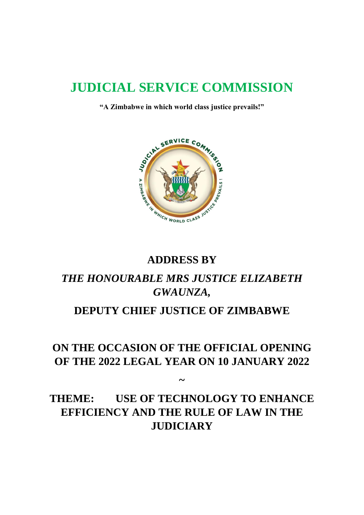## **JUDICIAL SERVICE COMMISSION**

**"A Zimbabwe in which world class justice prevails!"**



### **ADDRESS BY**

## *THE HONOURABLE MRS JUSTICE ELIZABETH GWAUNZA,*

#### **DEPUTY CHIEF JUSTICE OF ZIMBABWE**

## **ON THE OCCASION OF THE OFFICIAL OPENING OF THE 2022 LEGAL YEAR ON 10 JANUARY 2022**

**~**

## **THEME: USE OF TECHNOLOGY TO ENHANCE EFFICIENCY AND THE RULE OF LAW IN THE JUDICIARY**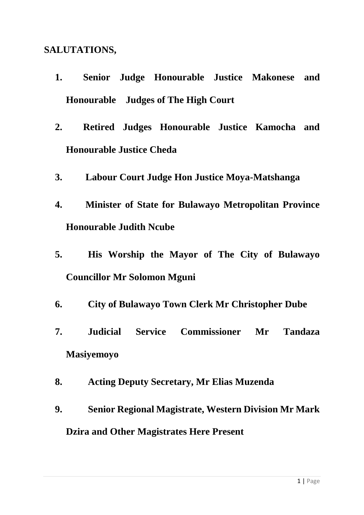#### **SALUTATIONS,**

- **1. Senior Judge Honourable Justice Makonese and Honourable Judges of The High Court**
- **2. Retired Judges Honourable Justice Kamocha and Honourable Justice Cheda**
- **3. Labour Court Judge Hon Justice Moya-Matshanga**
- **4. Minister of State for Bulawayo Metropolitan Province Honourable Judith Ncube**
- **5. His Worship the Mayor of The City of Bulawayo Councillor Mr Solomon Mguni**
- **6. City of Bulawayo Town Clerk Mr Christopher Dube**
- **7. Judicial Service Commissioner Mr Tandaza Masiyemoyo**
- **8. Acting Deputy Secretary, Mr Elias Muzenda**
- **9. Senior Regional Magistrate, Western Division Mr Mark Dzira and Other Magistrates Here Present**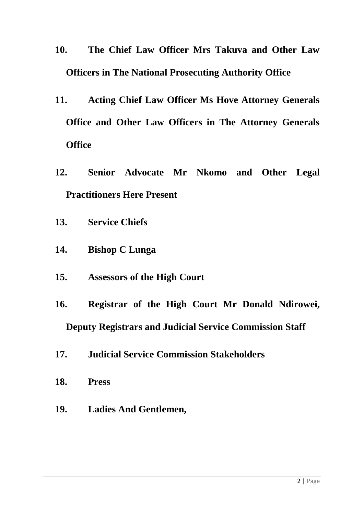- **10. The Chief Law Officer Mrs Takuva and Other Law Officers in The National Prosecuting Authority Office**
- **11. Acting Chief Law Officer Ms Hove Attorney Generals Office and Other Law Officers in The Attorney Generals Office**
- **12. Senior Advocate Mr Nkomo and Other Legal Practitioners Here Present**
- **13. Service Chiefs**
- **14. Bishop C Lunga**
- **15. Assessors of the High Court**
- **16. Registrar of the High Court Mr Donald Ndirowei, Deputy Registrars and Judicial Service Commission Staff**
- **17. Judicial Service Commission Stakeholders**
- **18. Press**
- **19. Ladies And Gentlemen,**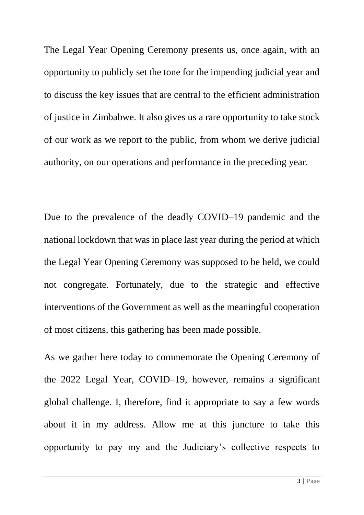The Legal Year Opening Ceremony presents us, once again, with an opportunity to publicly set the tone for the impending judicial year and to discuss the key issues that are central to the efficient administration of justice in Zimbabwe. It also gives us a rare opportunity to take stock of our work as we report to the public, from whom we derive judicial authority, on our operations and performance in the preceding year.

Due to the prevalence of the deadly COVID–19 pandemic and the national lockdown that was in place last year during the period at which the Legal Year Opening Ceremony was supposed to be held, we could not congregate. Fortunately, due to the strategic and effective interventions of the Government as well as the meaningful cooperation of most citizens, this gathering has been made possible.

As we gather here today to commemorate the Opening Ceremony of the 2022 Legal Year, COVID–19, however, remains a significant global challenge. I, therefore, find it appropriate to say a few words about it in my address. Allow me at this juncture to take this opportunity to pay my and the Judiciary's collective respects to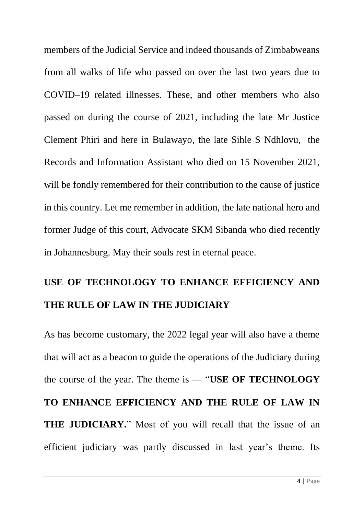members of the Judicial Service and indeed thousands of Zimbabweans from all walks of life who passed on over the last two years due to COVID–19 related illnesses. These, and other members who also passed on during the course of 2021, including the late Mr Justice Clement Phiri and here in Bulawayo, the late Sihle S Ndhlovu, the Records and Information Assistant who died on 15 November 2021, will be fondly remembered for their contribution to the cause of justice in this country. Let me remember in addition, the late national hero and former Judge of this court, Advocate SKM Sibanda who died recently in Johannesburg. May their souls rest in eternal peace.

# **USE OF TECHNOLOGY TO ENHANCE EFFICIENCY AND THE RULE OF LAW IN THE JUDICIARY**

As has become customary, the 2022 legal year will also have a theme that will act as a beacon to guide the operations of the Judiciary during the course of the year. The theme is — "**USE OF TECHNOLOGY TO ENHANCE EFFICIENCY AND THE RULE OF LAW IN THE JUDICIARY.**" Most of you will recall that the issue of an efficient judiciary was partly discussed in last year's theme. Its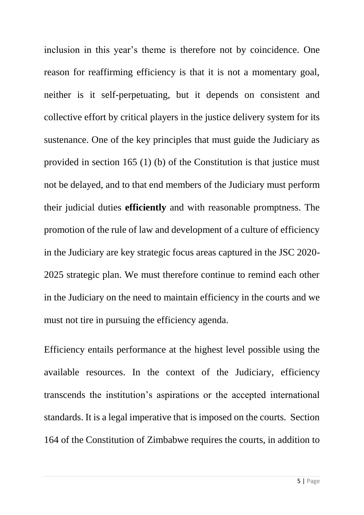inclusion in this year's theme is therefore not by coincidence. One reason for reaffirming efficiency is that it is not a momentary goal, neither is it self-perpetuating, but it depends on consistent and collective effort by critical players in the justice delivery system for its sustenance. One of the key principles that must guide the Judiciary as provided in section 165 (1) (b) of the Constitution is that justice must not be delayed, and to that end members of the Judiciary must perform their judicial duties **efficiently** and with reasonable promptness. The promotion of the rule of law and development of a culture of efficiency in the Judiciary are key strategic focus areas captured in the JSC 2020- 2025 strategic plan. We must therefore continue to remind each other in the Judiciary on the need to maintain efficiency in the courts and we must not tire in pursuing the efficiency agenda.

Efficiency entails performance at the highest level possible using the available resources. In the context of the Judiciary, efficiency transcends the institution's aspirations or the accepted international standards. It is a legal imperative that is imposed on the courts. Section 164 of the Constitution of Zimbabwe requires the courts, in addition to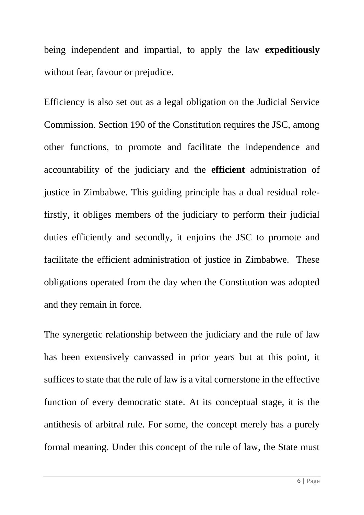being independent and impartial, to apply the law **expeditiously** without fear, favour or prejudice.

Efficiency is also set out as a legal obligation on the Judicial Service Commission. Section 190 of the Constitution requires the JSC, among other functions, to promote and facilitate the independence and accountability of the judiciary and the **efficient** administration of justice in Zimbabwe. This guiding principle has a dual residual rolefirstly, it obliges members of the judiciary to perform their judicial duties efficiently and secondly, it enjoins the JSC to promote and facilitate the efficient administration of justice in Zimbabwe. These obligations operated from the day when the Constitution was adopted and they remain in force.

The synergetic relationship between the judiciary and the rule of law has been extensively canvassed in prior years but at this point, it suffices to state that the rule of law is a vital cornerstone in the effective function of every democratic state. At its conceptual stage, it is the antithesis of arbitral rule. For some, the concept merely has a purely formal meaning. Under this concept of the rule of law, the State must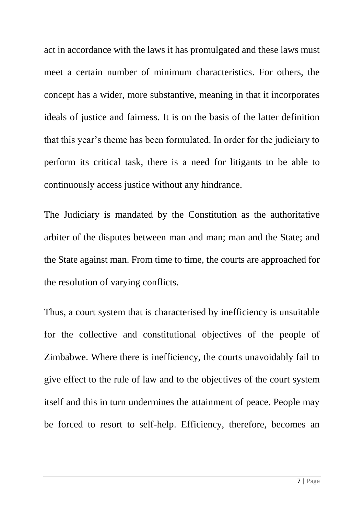act in accordance with the laws it has promulgated and these laws must meet a certain number of minimum characteristics. For others, the concept has a wider, more substantive, meaning in that it incorporates ideals of justice and fairness. It is on the basis of the latter definition that this year's theme has been formulated. In order for the judiciary to perform its critical task, there is a need for litigants to be able to continuously access justice without any hindrance.

The Judiciary is mandated by the Constitution as the authoritative arbiter of the disputes between man and man; man and the State; and the State against man. From time to time, the courts are approached for the resolution of varying conflicts.

Thus, a court system that is characterised by inefficiency is unsuitable for the collective and constitutional objectives of the people of Zimbabwe. Where there is inefficiency, the courts unavoidably fail to give effect to the rule of law and to the objectives of the court system itself and this in turn undermines the attainment of peace. People may be forced to resort to self-help. Efficiency, therefore, becomes an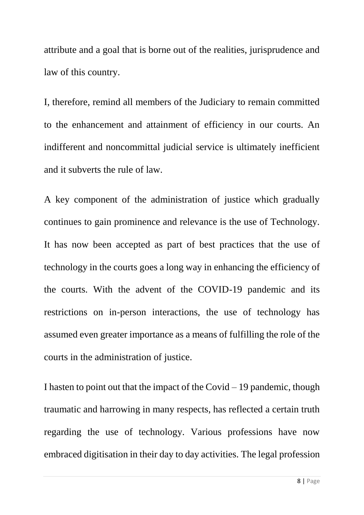attribute and a goal that is borne out of the realities, jurisprudence and law of this country.

I, therefore, remind all members of the Judiciary to remain committed to the enhancement and attainment of efficiency in our courts. An indifferent and noncommittal judicial service is ultimately inefficient and it subverts the rule of law.

A key component of the administration of justice which gradually continues to gain prominence and relevance is the use of Technology. It has now been accepted as part of best practices that the use of technology in the courts goes a long way in enhancing the efficiency of the courts. With the advent of the COVID-19 pandemic and its restrictions on in-person interactions, the use of technology has assumed even greater importance as a means of fulfilling the role of the courts in the administration of justice.

I hasten to point out that the impact of the Covid  $-19$  pandemic, though traumatic and harrowing in many respects, has reflected a certain truth regarding the use of technology. Various professions have now embraced digitisation in their day to day activities. The legal profession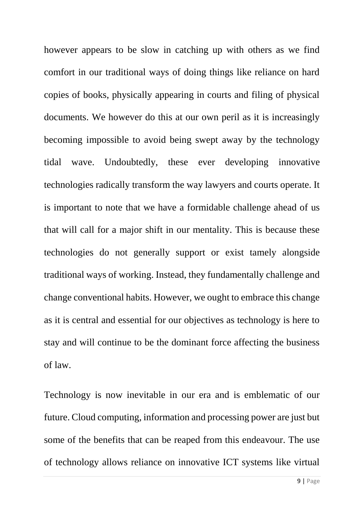however appears to be slow in catching up with others as we find comfort in our traditional ways of doing things like reliance on hard copies of books, physically appearing in courts and filing of physical documents. We however do this at our own peril as it is increasingly becoming impossible to avoid being swept away by the technology tidal wave. Undoubtedly, these ever developing innovative technologies radically transform the way lawyers and courts operate. It is important to note that we have a formidable challenge ahead of us that will call for a major shift in our mentality. This is because these technologies do not generally support or exist tamely alongside traditional ways of working. Instead, they fundamentally challenge and change conventional habits. However, we ought to embrace this change as it is central and essential for our objectives as technology is here to stay and will continue to be the dominant force affecting the business of law.

Technology is now inevitable in our era and is emblematic of our future. Cloud computing, information and processing power are just but some of the benefits that can be reaped from this endeavour. The use of technology allows reliance on innovative ICT systems like virtual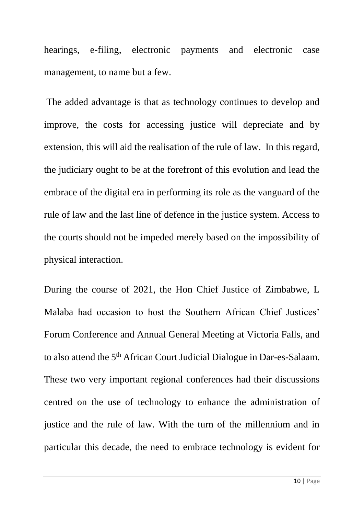hearings, e-filing, electronic payments and electronic case management, to name but a few.

The added advantage is that as technology continues to develop and improve, the costs for accessing justice will depreciate and by extension, this will aid the realisation of the rule of law. In this regard, the judiciary ought to be at the forefront of this evolution and lead the embrace of the digital era in performing its role as the vanguard of the rule of law and the last line of defence in the justice system. Access to the courts should not be impeded merely based on the impossibility of physical interaction.

During the course of 2021, the Hon Chief Justice of Zimbabwe, L Malaba had occasion to host the Southern African Chief Justices' Forum Conference and Annual General Meeting at Victoria Falls, and to also attend the 5<sup>th</sup> African Court Judicial Dialogue in Dar-es-Salaam. These two very important regional conferences had their discussions centred on the use of technology to enhance the administration of justice and the rule of law. With the turn of the millennium and in particular this decade, the need to embrace technology is evident for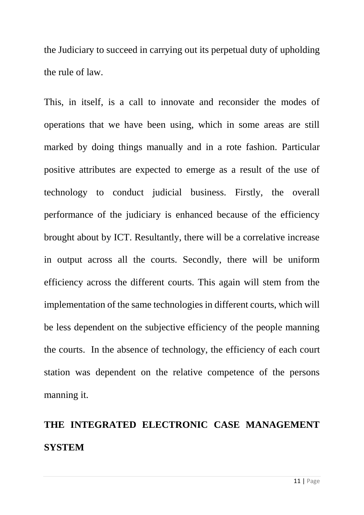the Judiciary to succeed in carrying out its perpetual duty of upholding the rule of law.

This, in itself, is a call to innovate and reconsider the modes of operations that we have been using, which in some areas are still marked by doing things manually and in a rote fashion. Particular positive attributes are expected to emerge as a result of the use of technology to conduct judicial business. Firstly, the overall performance of the judiciary is enhanced because of the efficiency brought about by ICT. Resultantly, there will be a correlative increase in output across all the courts. Secondly, there will be uniform efficiency across the different courts. This again will stem from the implementation of the same technologies in different courts, which will be less dependent on the subjective efficiency of the people manning the courts. In the absence of technology, the efficiency of each court station was dependent on the relative competence of the persons manning it.

# **THE INTEGRATED ELECTRONIC CASE MANAGEMENT SYSTEM**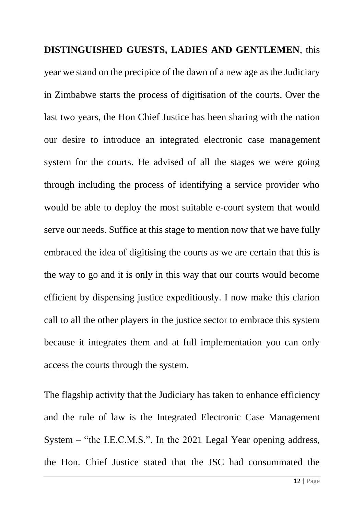# **DISTINGUISHED GUESTS, LADIES AND GENTLEMEN**, this year we stand on the precipice of the dawn of a new age as the Judiciary in Zimbabwe starts the process of digitisation of the courts. Over the last two years, the Hon Chief Justice has been sharing with the nation our desire to introduce an integrated electronic case management system for the courts. He advised of all the stages we were going through including the process of identifying a service provider who would be able to deploy the most suitable e-court system that would serve our needs. Suffice at this stage to mention now that we have fully embraced the idea of digitising the courts as we are certain that this is the way to go and it is only in this way that our courts would become efficient by dispensing justice expeditiously. I now make this clarion call to all the other players in the justice sector to embrace this system because it integrates them and at full implementation you can only access the courts through the system.

The flagship activity that the Judiciary has taken to enhance efficiency and the rule of law is the Integrated Electronic Case Management System – "the I.E.C.M.S.". In the 2021 Legal Year opening address, the Hon. Chief Justice stated that the JSC had consummated the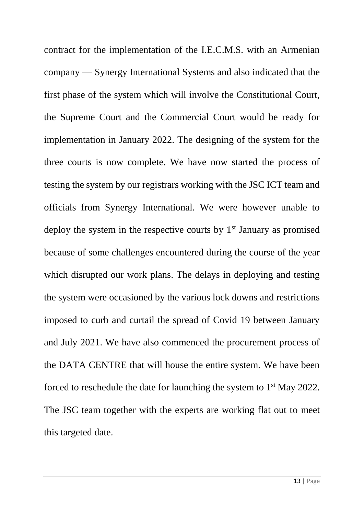contract for the implementation of the I.E.C.M.S. with an Armenian company — Synergy International Systems and also indicated that the first phase of the system which will involve the Constitutional Court, the Supreme Court and the Commercial Court would be ready for implementation in January 2022. The designing of the system for the three courts is now complete. We have now started the process of testing the system by our registrars working with the JSC ICT team and officials from Synergy International. We were however unable to deploy the system in the respective courts by  $1<sup>st</sup>$  January as promised because of some challenges encountered during the course of the year which disrupted our work plans. The delays in deploying and testing the system were occasioned by the various lock downs and restrictions imposed to curb and curtail the spread of Covid 19 between January and July 2021. We have also commenced the procurement process of the DATA CENTRE that will house the entire system. We have been forced to reschedule the date for launching the system to 1<sup>st</sup> May 2022. The JSC team together with the experts are working flat out to meet this targeted date.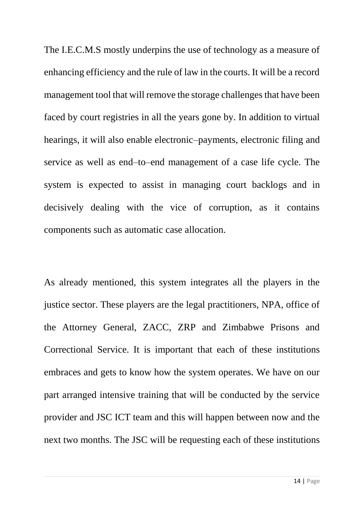The I.E.C.M.S mostly underpins the use of technology as a measure of enhancing efficiency and the rule of law in the courts. It will be a record management tool that will remove the storage challenges that have been faced by court registries in all the years gone by. In addition to virtual hearings, it will also enable electronic–payments, electronic filing and service as well as end–to–end management of a case life cycle. The system is expected to assist in managing court backlogs and in decisively dealing with the vice of corruption, as it contains components such as automatic case allocation.

As already mentioned, this system integrates all the players in the justice sector. These players are the legal practitioners, NPA, office of the Attorney General, ZACC, ZRP and Zimbabwe Prisons and Correctional Service. It is important that each of these institutions embraces and gets to know how the system operates. We have on our part arranged intensive training that will be conducted by the service provider and JSC ICT team and this will happen between now and the next two months. The JSC will be requesting each of these institutions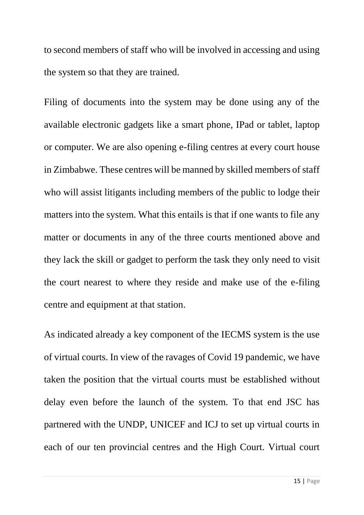to second members of staff who will be involved in accessing and using the system so that they are trained.

Filing of documents into the system may be done using any of the available electronic gadgets like a smart phone, IPad or tablet, laptop or computer. We are also opening e-filing centres at every court house in Zimbabwe. These centres will be manned by skilled members of staff who will assist litigants including members of the public to lodge their matters into the system. What this entails is that if one wants to file any matter or documents in any of the three courts mentioned above and they lack the skill or gadget to perform the task they only need to visit the court nearest to where they reside and make use of the e-filing centre and equipment at that station.

As indicated already a key component of the IECMS system is the use of virtual courts. In view of the ravages of Covid 19 pandemic, we have taken the position that the virtual courts must be established without delay even before the launch of the system. To that end JSC has partnered with the UNDP, UNICEF and ICJ to set up virtual courts in each of our ten provincial centres and the High Court. Virtual court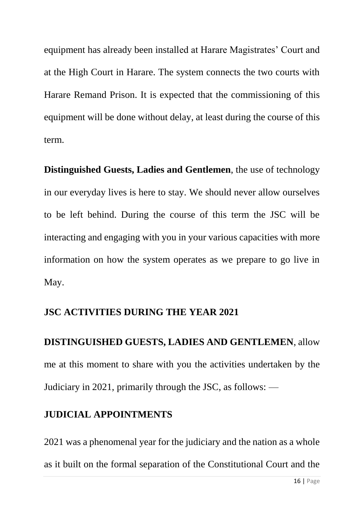equipment has already been installed at Harare Magistrates' Court and at the High Court in Harare. The system connects the two courts with Harare Remand Prison. It is expected that the commissioning of this equipment will be done without delay, at least during the course of this term.

**Distinguished Guests, Ladies and Gentlemen**, the use of technology in our everyday lives is here to stay. We should never allow ourselves to be left behind. During the course of this term the JSC will be interacting and engaging with you in your various capacities with more information on how the system operates as we prepare to go live in May.

#### **JSC ACTIVITIES DURING THE YEAR 2021**

**DISTINGUISHED GUESTS, LADIES AND GENTLEMEN**, allow me at this moment to share with you the activities undertaken by the Judiciary in 2021, primarily through the JSC, as follows: —

#### **JUDICIAL APPOINTMENTS**

2021 was a phenomenal year for the judiciary and the nation as a whole as it built on the formal separation of the Constitutional Court and the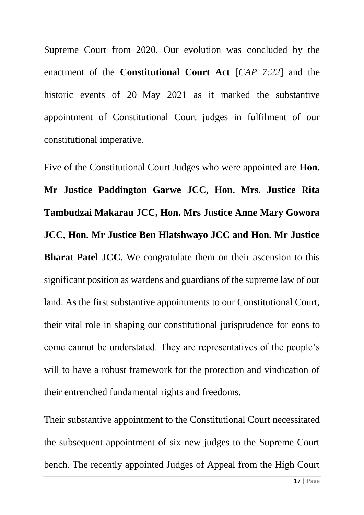Supreme Court from 2020. Our evolution was concluded by the enactment of the **Constitutional Court Act** [*CAP 7:22*] and the historic events of 20 May 2021 as it marked the substantive appointment of Constitutional Court judges in fulfilment of our constitutional imperative.

Five of the Constitutional Court Judges who were appointed are **Hon. Mr Justice Paddington Garwe JCC, Hon. Mrs. Justice Rita Tambudzai Makarau JCC, Hon. Mrs Justice Anne Mary Gowora JCC, Hon. Mr Justice Ben Hlatshwayo JCC and Hon. Mr Justice Bharat Patel JCC**. We congratulate them on their ascension to this significant position as wardens and guardians of the supreme law of our land. As the first substantive appointments to our Constitutional Court, their vital role in shaping our constitutional jurisprudence for eons to come cannot be understated. They are representatives of the people's will to have a robust framework for the protection and vindication of their entrenched fundamental rights and freedoms.

Their substantive appointment to the Constitutional Court necessitated the subsequent appointment of six new judges to the Supreme Court bench. The recently appointed Judges of Appeal from the High Court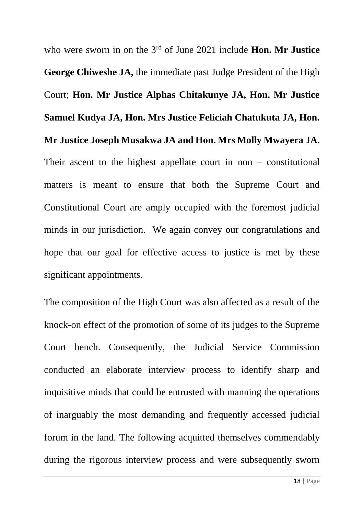who were sworn in on the 3rd of June 2021 include **Hon. Mr Justice George Chiweshe JA,** the immediate past Judge President of the High Court; **Hon. Mr Justice Alphas Chitakunye JA, Hon. Mr Justice Samuel Kudya JA, Hon. Mrs Justice Feliciah Chatukuta JA, Hon.** 

**Mr Justice Joseph Musakwa JA and Hon. Mrs Molly Mwayera JA.** 

Their ascent to the highest appellate court in non – constitutional matters is meant to ensure that both the Supreme Court and Constitutional Court are amply occupied with the foremost judicial minds in our jurisdiction. We again convey our congratulations and hope that our goal for effective access to justice is met by these significant appointments.

The composition of the High Court was also affected as a result of the knock-on effect of the promotion of some of its judges to the Supreme Court bench. Consequently, the Judicial Service Commission conducted an elaborate interview process to identify sharp and inquisitive minds that could be entrusted with manning the operations of inarguably the most demanding and frequently accessed judicial forum in the land. The following acquitted themselves commendably during the rigorous interview process and were subsequently sworn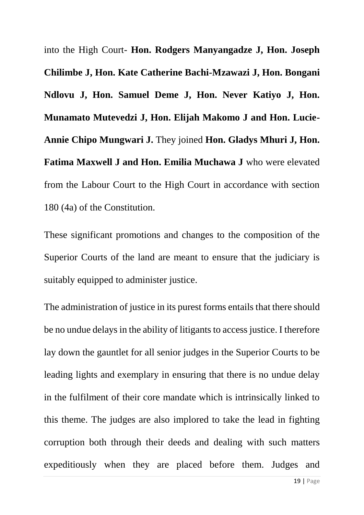into the High Court- **Hon. Rodgers Manyangadze J, Hon. Joseph Chilimbe J, Hon. Kate Catherine Bachi-Mzawazi J, Hon. Bongani Ndlovu J, Hon. Samuel Deme J, Hon. Never Katiyo J, Hon. Munamato Mutevedzi J, Hon. Elijah Makomo J and Hon. Lucie-Annie Chipo Mungwari J.** They joined **Hon. Gladys Mhuri J, Hon. Fatima Maxwell J and Hon. Emilia Muchawa J** who were elevated from the Labour Court to the High Court in accordance with section 180 (4a) of the Constitution.

These significant promotions and changes to the composition of the Superior Courts of the land are meant to ensure that the judiciary is suitably equipped to administer justice.

The administration of justice in its purest forms entails that there should be no undue delays in the ability of litigants to access justice. I therefore lay down the gauntlet for all senior judges in the Superior Courts to be leading lights and exemplary in ensuring that there is no undue delay in the fulfilment of their core mandate which is intrinsically linked to this theme. The judges are also implored to take the lead in fighting corruption both through their deeds and dealing with such matters expeditiously when they are placed before them. Judges and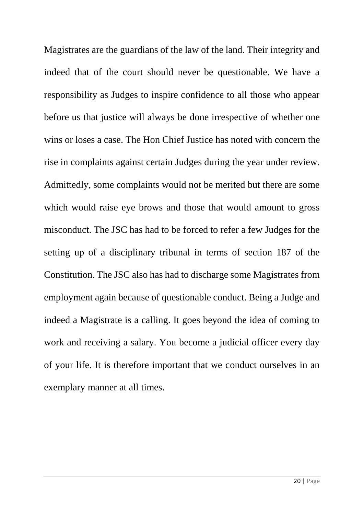Magistrates are the guardians of the law of the land. Their integrity and indeed that of the court should never be questionable. We have a responsibility as Judges to inspire confidence to all those who appear before us that justice will always be done irrespective of whether one wins or loses a case. The Hon Chief Justice has noted with concern the rise in complaints against certain Judges during the year under review. Admittedly, some complaints would not be merited but there are some which would raise eye brows and those that would amount to gross misconduct. The JSC has had to be forced to refer a few Judges for the setting up of a disciplinary tribunal in terms of section 187 of the Constitution. The JSC also has had to discharge some Magistrates from employment again because of questionable conduct. Being a Judge and indeed a Magistrate is a calling. It goes beyond the idea of coming to work and receiving a salary. You become a judicial officer every day of your life. It is therefore important that we conduct ourselves in an exemplary manner at all times.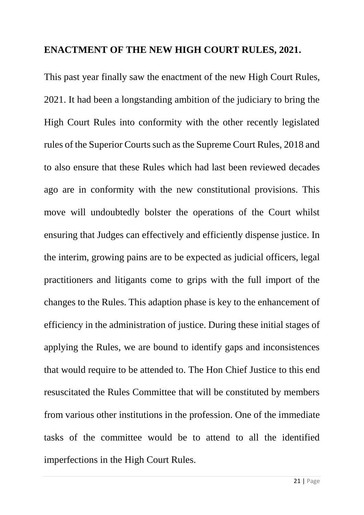#### **ENACTMENT OF THE NEW HIGH COURT RULES, 2021.**

This past year finally saw the enactment of the new High Court Rules, 2021. It had been a longstanding ambition of the judiciary to bring the High Court Rules into conformity with the other recently legislated rules of the Superior Courts such as the Supreme Court Rules, 2018 and to also ensure that these Rules which had last been reviewed decades ago are in conformity with the new constitutional provisions. This move will undoubtedly bolster the operations of the Court whilst ensuring that Judges can effectively and efficiently dispense justice. In the interim, growing pains are to be expected as judicial officers, legal practitioners and litigants come to grips with the full import of the changes to the Rules. This adaption phase is key to the enhancement of efficiency in the administration of justice. During these initial stages of applying the Rules, we are bound to identify gaps and inconsistences that would require to be attended to. The Hon Chief Justice to this end resuscitated the Rules Committee that will be constituted by members from various other institutions in the profession. One of the immediate tasks of the committee would be to attend to all the identified imperfections in the High Court Rules.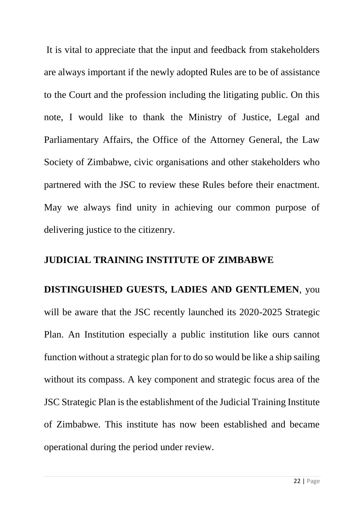It is vital to appreciate that the input and feedback from stakeholders are always important if the newly adopted Rules are to be of assistance to the Court and the profession including the litigating public. On this note, I would like to thank the Ministry of Justice, Legal and Parliamentary Affairs, the Office of the Attorney General, the Law Society of Zimbabwe, civic organisations and other stakeholders who partnered with the JSC to review these Rules before their enactment. May we always find unity in achieving our common purpose of delivering justice to the citizenry.

#### **JUDICIAL TRAINING INSTITUTE OF ZIMBABWE**

**DISTINGUISHED GUESTS, LADIES AND GENTLEMEN**, you will be aware that the JSC recently launched its 2020-2025 Strategic Plan. An Institution especially a public institution like ours cannot function without a strategic plan for to do so would be like a ship sailing without its compass. A key component and strategic focus area of the JSC Strategic Plan is the establishment of the Judicial Training Institute of Zimbabwe. This institute has now been established and became operational during the period under review.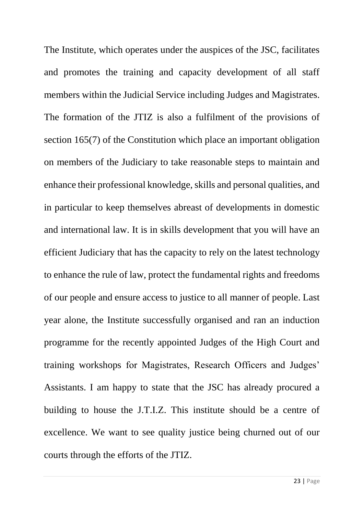The Institute, which operates under the auspices of the JSC, facilitates and promotes the training and capacity development of all staff members within the Judicial Service including Judges and Magistrates. The formation of the JTIZ is also a fulfilment of the provisions of section 165(7) of the Constitution which place an important obligation on members of the Judiciary to take reasonable steps to maintain and enhance their professional knowledge, skills and personal qualities, and in particular to keep themselves abreast of developments in domestic and international law. It is in skills development that you will have an efficient Judiciary that has the capacity to rely on the latest technology to enhance the rule of law, protect the fundamental rights and freedoms of our people and ensure access to justice to all manner of people. Last year alone, the Institute successfully organised and ran an induction programme for the recently appointed Judges of the High Court and training workshops for Magistrates, Research Officers and Judges' Assistants. I am happy to state that the JSC has already procured a building to house the J.T.I.Z. This institute should be a centre of excellence. We want to see quality justice being churned out of our courts through the efforts of the JTIZ.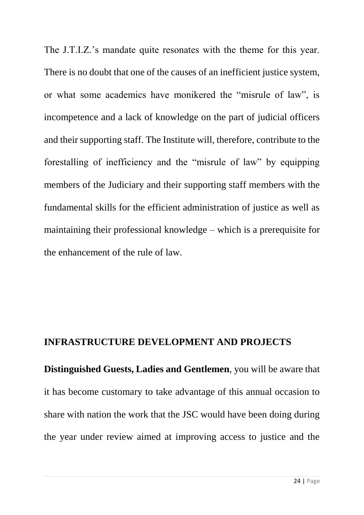The J.T.I.Z.'s mandate quite resonates with the theme for this year. There is no doubt that one of the causes of an inefficient justice system, or what some academics have monikered the "misrule of law", is incompetence and a lack of knowledge on the part of judicial officers and their supporting staff. The Institute will, therefore, contribute to the forestalling of inefficiency and the "misrule of law" by equipping members of the Judiciary and their supporting staff members with the fundamental skills for the efficient administration of justice as well as maintaining their professional knowledge – which is a prerequisite for the enhancement of the rule of law.

#### **INFRASTRUCTURE DEVELOPMENT AND PROJECTS**

**Distinguished Guests, Ladies and Gentlemen**, you will be aware that it has become customary to take advantage of this annual occasion to share with nation the work that the JSC would have been doing during the year under review aimed at improving access to justice and the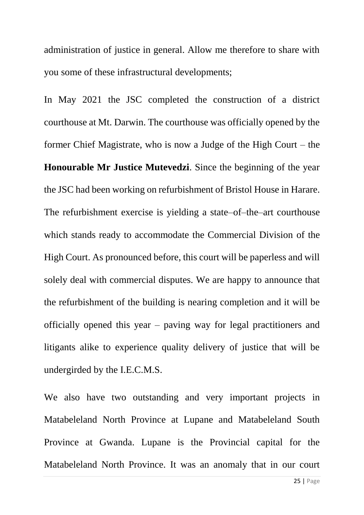administration of justice in general. Allow me therefore to share with you some of these infrastructural developments;

In May 2021 the JSC completed the construction of a district courthouse at Mt. Darwin. The courthouse was officially opened by the former Chief Magistrate, who is now a Judge of the High Court – the **Honourable Mr Justice Mutevedzi**. Since the beginning of the year the JSC had been working on refurbishment of Bristol House in Harare. The refurbishment exercise is yielding a state–of–the–art courthouse which stands ready to accommodate the Commercial Division of the High Court. As pronounced before, this court will be paperless and will solely deal with commercial disputes. We are happy to announce that the refurbishment of the building is nearing completion and it will be officially opened this year – paving way for legal practitioners and litigants alike to experience quality delivery of justice that will be undergirded by the I.E.C.M.S.

We also have two outstanding and very important projects in Matabeleland North Province at Lupane and Matabeleland South Province at Gwanda. Lupane is the Provincial capital for the Matabeleland North Province. It was an anomaly that in our court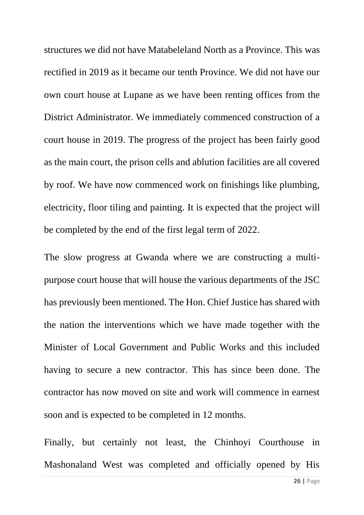structures we did not have Matabeleland North as a Province. This was rectified in 2019 as it became our tenth Province. We did not have our own court house at Lupane as we have been renting offices from the District Administrator. We immediately commenced construction of a court house in 2019. The progress of the project has been fairly good as the main court, the prison cells and ablution facilities are all covered by roof. We have now commenced work on finishings like plumbing, electricity, floor tiling and painting. It is expected that the project will be completed by the end of the first legal term of 2022.

The slow progress at Gwanda where we are constructing a multipurpose court house that will house the various departments of the JSC has previously been mentioned. The Hon. Chief Justice has shared with the nation the interventions which we have made together with the Minister of Local Government and Public Works and this included having to secure a new contractor. This has since been done. The contractor has now moved on site and work will commence in earnest soon and is expected to be completed in 12 months.

Finally, but certainly not least, the Chinhoyi Courthouse in Mashonaland West was completed and officially opened by His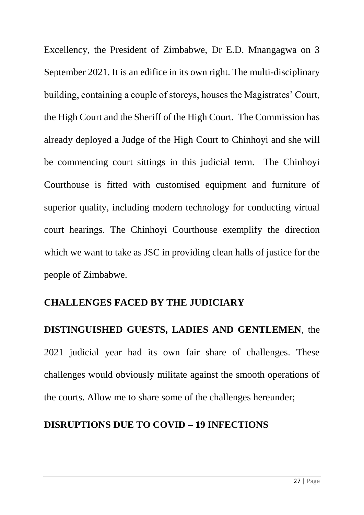Excellency, the President of Zimbabwe, Dr E.D. Mnangagwa on 3 September 2021. It is an edifice in its own right. The multi-disciplinary building, containing a couple of storeys, houses the Magistrates' Court, the High Court and the Sheriff of the High Court. The Commission has already deployed a Judge of the High Court to Chinhoyi and she will be commencing court sittings in this judicial term. The Chinhoyi Courthouse is fitted with customised equipment and furniture of superior quality, including modern technology for conducting virtual court hearings. The Chinhoyi Courthouse exemplify the direction which we want to take as JSC in providing clean halls of justice for the people of Zimbabwe.

#### **CHALLENGES FACED BY THE JUDICIARY**

**DISTINGUISHED GUESTS, LADIES AND GENTLEMEN**, the 2021 judicial year had its own fair share of challenges. These challenges would obviously militate against the smooth operations of the courts. Allow me to share some of the challenges hereunder;

#### **DISRUPTIONS DUE TO COVID – 19 INFECTIONS**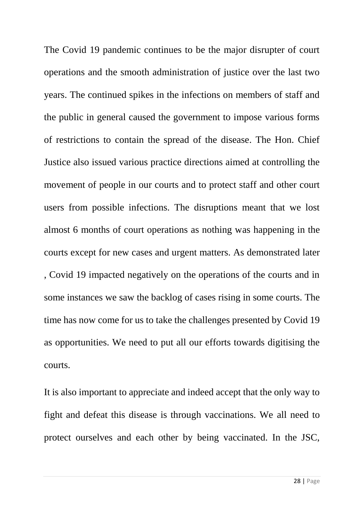The Covid 19 pandemic continues to be the major disrupter of court operations and the smooth administration of justice over the last two years. The continued spikes in the infections on members of staff and the public in general caused the government to impose various forms of restrictions to contain the spread of the disease. The Hon. Chief Justice also issued various practice directions aimed at controlling the movement of people in our courts and to protect staff and other court users from possible infections. The disruptions meant that we lost almost 6 months of court operations as nothing was happening in the courts except for new cases and urgent matters. As demonstrated later , Covid 19 impacted negatively on the operations of the courts and in some instances we saw the backlog of cases rising in some courts. The time has now come for us to take the challenges presented by Covid 19 as opportunities. We need to put all our efforts towards digitising the courts.

It is also important to appreciate and indeed accept that the only way to fight and defeat this disease is through vaccinations. We all need to protect ourselves and each other by being vaccinated. In the JSC,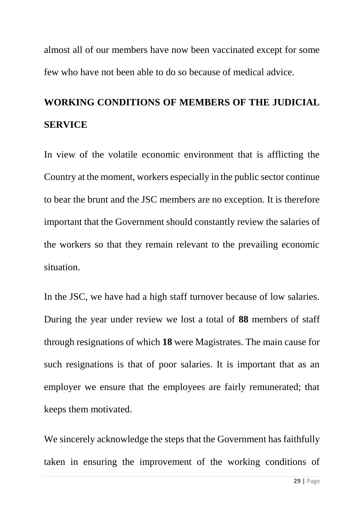almost all of our members have now been vaccinated except for some few who have not been able to do so because of medical advice.

# **WORKING CONDITIONS OF MEMBERS OF THE JUDICIAL SERVICE**

In view of the volatile economic environment that is afflicting the Country at the moment, workers especially in the public sector continue to bear the brunt and the JSC members are no exception. It is therefore important that the Government should constantly review the salaries of the workers so that they remain relevant to the prevailing economic situation.

In the JSC, we have had a high staff turnover because of low salaries. During the year under review we lost a total of **88** members of staff through resignations of which **18** were Magistrates. The main cause for such resignations is that of poor salaries. It is important that as an employer we ensure that the employees are fairly remunerated; that keeps them motivated.

We sincerely acknowledge the steps that the Government has faithfully taken in ensuring the improvement of the working conditions of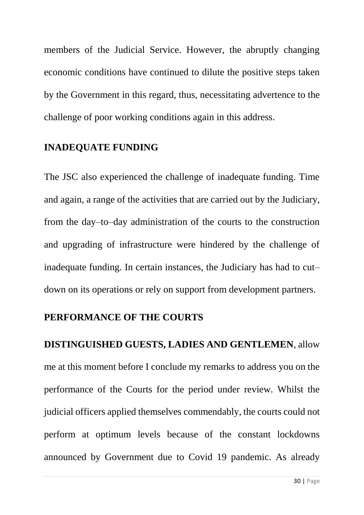members of the Judicial Service. However, the abruptly changing economic conditions have continued to dilute the positive steps taken by the Government in this regard, thus, necessitating advertence to the challenge of poor working conditions again in this address.

#### **INADEQUATE FUNDING**

The JSC also experienced the challenge of inadequate funding. Time and again, a range of the activities that are carried out by the Judiciary, from the day–to–day administration of the courts to the construction and upgrading of infrastructure were hindered by the challenge of inadequate funding. In certain instances, the Judiciary has had to cut– down on its operations or rely on support from development partners.

#### **PERFORMANCE OF THE COURTS**

**DISTINGUISHED GUESTS, LADIES AND GENTLEMEN**, allow me at this moment before I conclude my remarks to address you on the performance of the Courts for the period under review. Whilst the judicial officers applied themselves commendably, the courts could not perform at optimum levels because of the constant lockdowns announced by Government due to Covid 19 pandemic. As already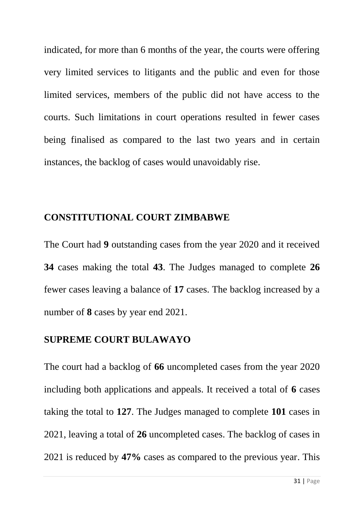indicated, for more than 6 months of the year, the courts were offering very limited services to litigants and the public and even for those limited services, members of the public did not have access to the courts. Such limitations in court operations resulted in fewer cases being finalised as compared to the last two years and in certain instances, the backlog of cases would unavoidably rise.

#### **CONSTITUTIONAL COURT ZIMBABWE**

The Court had **9** outstanding cases from the year 2020 and it received **34** cases making the total **43**. The Judges managed to complete **26**  fewer cases leaving a balance of **17** cases. The backlog increased by a number of **8** cases by year end 2021.

#### **SUPREME COURT BULAWAYO**

The court had a backlog of **66** uncompleted cases from the year 2020 including both applications and appeals. It received a total of **6** cases taking the total to **127**. The Judges managed to complete **101** cases in 2021, leaving a total of **26** uncompleted cases. The backlog of cases in 2021 is reduced by **47%** cases as compared to the previous year. This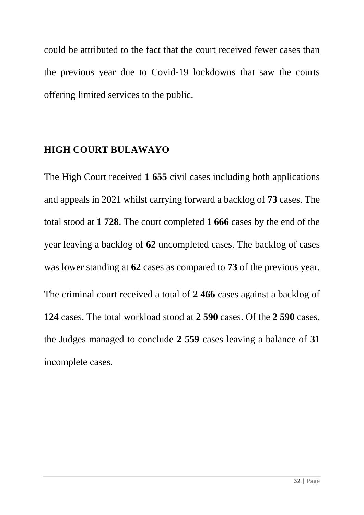could be attributed to the fact that the court received fewer cases than the previous year due to Covid-19 lockdowns that saw the courts offering limited services to the public.

#### **HIGH COURT BULAWAYO**

The High Court received **1 655** civil cases including both applications and appeals in 2021 whilst carrying forward a backlog of **73** cases. The total stood at **1 728**. The court completed **1 666** cases by the end of the year leaving a backlog of **62** uncompleted cases. The backlog of cases was lower standing at **62** cases as compared to **73** of the previous year. The criminal court received a total of **2 466** cases against a backlog of **124** cases. The total workload stood at **2 590** cases. Of the **2 590** cases, the Judges managed to conclude **2 559** cases leaving a balance of **31** incomplete cases.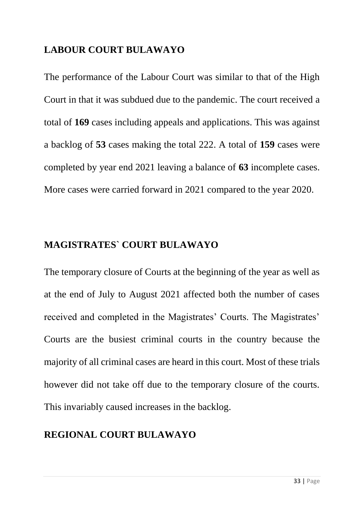#### **LABOUR COURT BULAWAYO**

The performance of the Labour Court was similar to that of the High Court in that it was subdued due to the pandemic. The court received a total of **169** cases including appeals and applications. This was against a backlog of **53** cases making the total 222. A total of **159** cases were completed by year end 2021 leaving a balance of **63** incomplete cases. More cases were carried forward in 2021 compared to the year 2020.

#### **MAGISTRATES` COURT BULAWAYO**

The temporary closure of Courts at the beginning of the year as well as at the end of July to August 2021 affected both the number of cases received and completed in the Magistrates' Courts. The Magistrates' Courts are the busiest criminal courts in the country because the majority of all criminal cases are heard in this court. Most of these trials however did not take off due to the temporary closure of the courts. This invariably caused increases in the backlog.

#### **REGIONAL COURT BULAWAYO**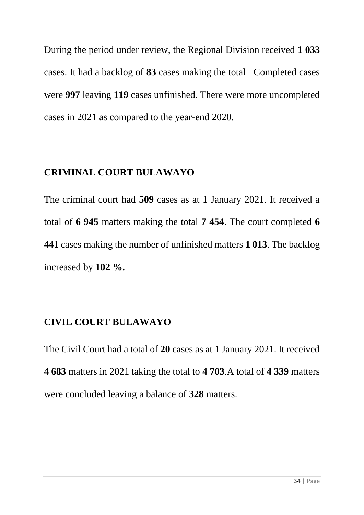During the period under review, the Regional Division received **1 033** cases. It had a backlog of **83** cases making the total Completed cases were **997** leaving **119** cases unfinished. There were more uncompleted cases in 2021 as compared to the year-end 2020.

#### **CRIMINAL COURT BULAWAYO**

The criminal court had **509** cases as at 1 January 2021. It received a total of **6 945** matters making the total **7 454**. The court completed **6 441** cases making the number of unfinished matters **1 013**. The backlog increased by **102 %.**

#### **CIVIL COURT BULAWAYO**

The Civil Court had a total of **20** cases as at 1 January 2021. It received **4 683** matters in 2021 taking the total to **4 703**.A total of **4 339** matters were concluded leaving a balance of **328** matters.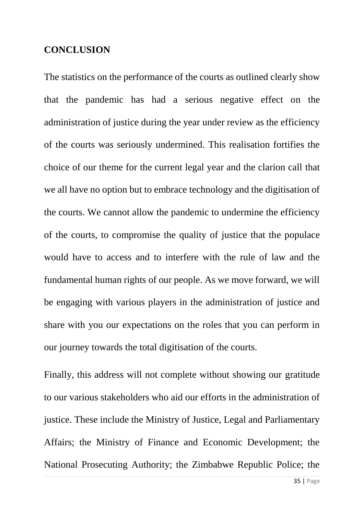#### **CONCLUSION**

The statistics on the performance of the courts as outlined clearly show that the pandemic has had a serious negative effect on the administration of justice during the year under review as the efficiency of the courts was seriously undermined. This realisation fortifies the choice of our theme for the current legal year and the clarion call that we all have no option but to embrace technology and the digitisation of the courts. We cannot allow the pandemic to undermine the efficiency of the courts, to compromise the quality of justice that the populace would have to access and to interfere with the rule of law and the fundamental human rights of our people. As we move forward, we will be engaging with various players in the administration of justice and share with you our expectations on the roles that you can perform in our journey towards the total digitisation of the courts.

Finally, this address will not complete without showing our gratitude to our various stakeholders who aid our efforts in the administration of justice. These include the Ministry of Justice, Legal and Parliamentary Affairs; the Ministry of Finance and Economic Development; the National Prosecuting Authority; the Zimbabwe Republic Police; the